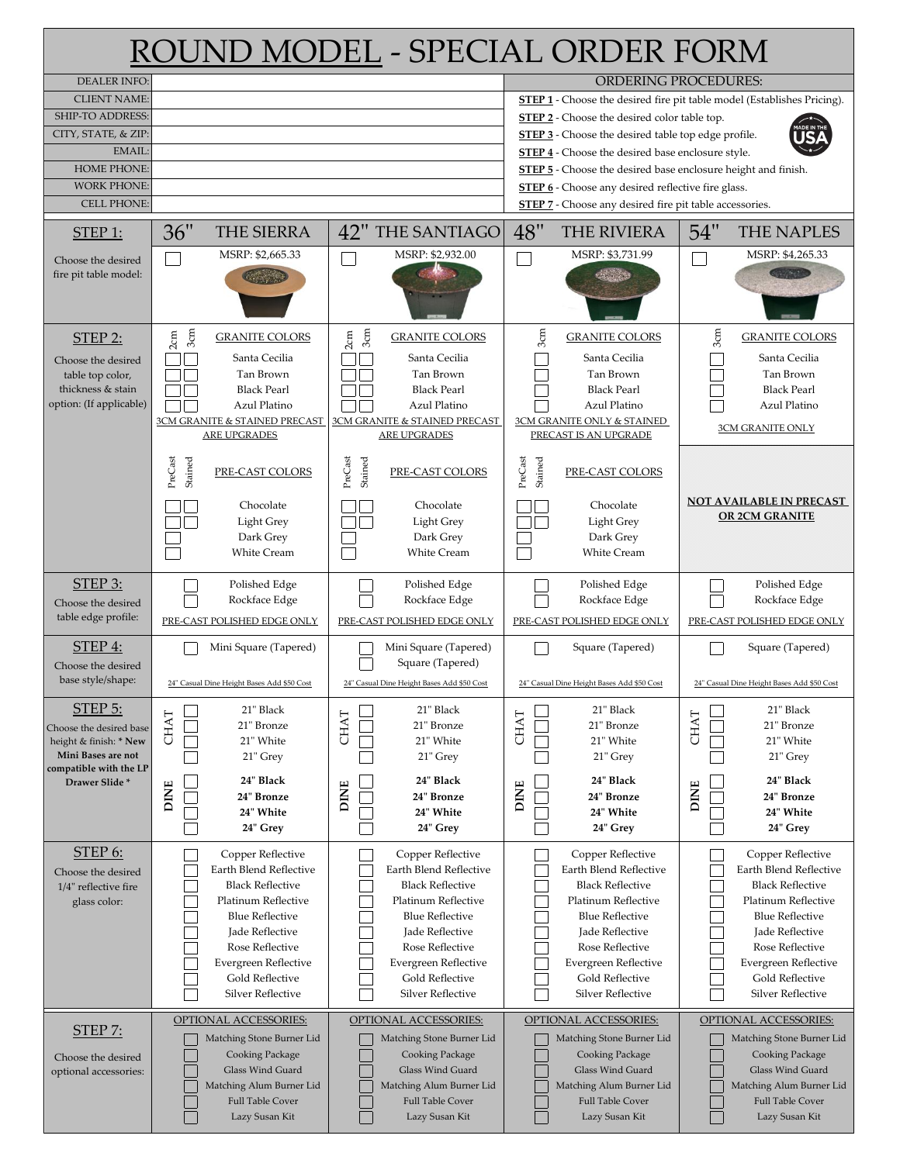| ROUND MODEL - SPECIAL ORDER FORM                                                                                                                                  |                            |                                                                                                                                                                                                                               |                            |                                                                                                                                                                                                                                                                                                                                                                                                                                                                                         |                            |                                                                                                                                                                                                                               |                            |                                                                                                                                                                                                                               |
|-------------------------------------------------------------------------------------------------------------------------------------------------------------------|----------------------------|-------------------------------------------------------------------------------------------------------------------------------------------------------------------------------------------------------------------------------|----------------------------|-----------------------------------------------------------------------------------------------------------------------------------------------------------------------------------------------------------------------------------------------------------------------------------------------------------------------------------------------------------------------------------------------------------------------------------------------------------------------------------------|----------------------------|-------------------------------------------------------------------------------------------------------------------------------------------------------------------------------------------------------------------------------|----------------------------|-------------------------------------------------------------------------------------------------------------------------------------------------------------------------------------------------------------------------------|
| <b>DEALER INFO:</b><br><b>CLIENT NAME:</b><br>SHIP-TO ADDRESS:<br>CITY, STATE, & ZIP:<br>EMAIL:<br><b>HOME PHONE:</b><br><b>WORK PHONE:</b><br><b>CELL PHONE:</b> |                            |                                                                                                                                                                                                                               |                            | <b>ORDERING PROCEDURES:</b><br><b>STEP 1</b> - Choose the desired fire pit table model (Establishes Pricing).<br><b>STEP 2</b> - Choose the desired color table top.<br><b>STEP 3</b> - Choose the desired table top edge profile.<br>STEP 4 - Choose the desired base enclosure style.<br>STEP 5 - Choose the desired base enclosure height and finish.<br><b>STEP 6</b> - Choose any desired reflective fire glass.<br><b>STEP 7</b> - Choose any desired fire pit table accessories. |                            |                                                                                                                                                                                                                               |                            |                                                                                                                                                                                                                               |
| $STEP$ 1:                                                                                                                                                         | 36"                        | THE SIERRA                                                                                                                                                                                                                    |                            | <b>42" THE SANTIAGO</b>                                                                                                                                                                                                                                                                                                                                                                                                                                                                 | 48"                        | <b>THE RIVIERA</b>                                                                                                                                                                                                            | 54"                        | <b>THE NAPLES</b>                                                                                                                                                                                                             |
| Choose the desired<br>fire pit table model:                                                                                                                       |                            | MSRP: \$2,665.33                                                                                                                                                                                                              |                            | MSRP: \$2,932.00                                                                                                                                                                                                                                                                                                                                                                                                                                                                        |                            | MSRP: \$3,731.99                                                                                                                                                                                                              |                            | MSRP: \$4,265.33                                                                                                                                                                                                              |
| <b>STEP 2:</b><br>Choose the desired<br>table top color,<br>thickness & stain<br>option: (If applicable)                                                          | 3 <sub>cm</sub><br>2cm     | <b>GRANITE COLORS</b><br>Santa Cecilia<br>Tan Brown<br><b>Black Pearl</b><br>Azul Platino<br>3CM GRANITE & STAINED PRECAST<br>ARE UPGRADES                                                                                    | 3 <sub>cm</sub><br>2cm     | <b>GRANITE COLORS</b><br>Santa Cecilia<br>Tan Brown<br><b>Black Pearl</b><br>Azul Platino<br>3CM GRANITE & STAINED PRECAST<br><b>ARE UPGRADES</b>                                                                                                                                                                                                                                                                                                                                       | 3 <sub>cm</sub>            | <b>GRANITE COLORS</b><br>Santa Cecilia<br>Tan Brown<br><b>Black Pearl</b><br>Azul Platino<br>3CM GRANITE ONLY & STAINED<br>PRECAST IS AN UPGRADE                                                                              | 3 <sub>cm</sub>            | <b>GRANITE COLORS</b><br>Santa Cecilia<br>Tan Brown<br><b>Black Pearl</b><br>Azul Platino<br><b>3CM GRANITE ONLY</b>                                                                                                          |
|                                                                                                                                                                   | PreCast<br>Stained         | PRE-CAST COLORS<br>Chocolate<br>Light Grey<br>Dark Grey<br><b>White Cream</b>                                                                                                                                                 | PreCast<br>Stained         | PRE-CAST COLORS<br>Chocolate<br>Light Grey<br>Dark Grey<br><b>White Cream</b>                                                                                                                                                                                                                                                                                                                                                                                                           | PreCast<br>Stained         | PRE-CAST COLORS<br>Chocolate<br>Light Grey<br>Dark Grey<br><b>White Cream</b>                                                                                                                                                 |                            | <b>NOT AVAILABLE IN PRECAST</b><br><b>OR 2CM GRANITE</b>                                                                                                                                                                      |
| STEP 3:<br>Choose the desired<br>table edge profile:                                                                                                              |                            | Polished Edge<br>Rockface Edge<br>PRE-CAST POLISHED EDGE ONLY                                                                                                                                                                 |                            | Polished Edge<br>Rockface Edge<br>PRE-CAST POLISHED EDGE ONLY                                                                                                                                                                                                                                                                                                                                                                                                                           |                            | Polished Edge<br>Rockface Edge<br>PRE-CAST POLISHED EDGE ONLY                                                                                                                                                                 |                            | Polished Edge<br>Rockface Edge<br>PRE-CAST POLISHED EDGE ONLY                                                                                                                                                                 |
| STEP 4:<br>Choose the desired<br>base style/shape:                                                                                                                |                            | Mini Square (Tapered)<br>24" Casual Dine Height Bases Add \$50 Cost                                                                                                                                                           |                            | Mini Square (Tapered)<br>Square (Tapered)<br>24" Casual Dine Height Bases Add \$50 Cost                                                                                                                                                                                                                                                                                                                                                                                                 |                            | Square (Tapered)<br>24" Casual Dine Height Bases Add \$50 Cost                                                                                                                                                                |                            | Square (Tapered)<br>24" Casual Dine Height Bases Add \$50 Cost                                                                                                                                                                |
| STEP 5:<br>Choose the desired base<br>height & finish: * New<br>Mini Bases are not<br>compatible with the LP<br>Drawer Slide*                                     | <b>CHAT</b><br><b>DINE</b> | 21" Black<br>21" Bronze<br>21" White<br>21" Grey<br>24" Black<br>24" Bronze<br>24" White<br>24" Grey                                                                                                                          | <b>CHAT</b><br><b>DINE</b> | 21" Black<br>21" Bronze<br>21" White<br>21" Grey<br>24" Black<br>24" Bronze<br>24" White<br>24" Grev                                                                                                                                                                                                                                                                                                                                                                                    | <b>CHAT</b><br><b>DINE</b> | 21" Black<br>21" Bronze<br>21" White<br>21" Grey<br>24" Black<br>24" Bronze<br>24" White<br>24" Grey                                                                                                                          | <b>CHAT</b><br><b>DINE</b> | 21" Black<br>21" Bronze<br>21" White<br>21" Grey<br>24" Black<br>24" Bronze<br>24" White<br>24" Grev                                                                                                                          |
| STEP 6:<br>Choose the desired<br>1/4" reflective fire<br>glass color:                                                                                             |                            | Copper Reflective<br>Earth Blend Reflective<br><b>Black Reflective</b><br>Platinum Reflective<br><b>Blue Reflective</b><br>Jade Reflective<br>Rose Reflective<br>Evergreen Reflective<br>Gold Reflective<br>Silver Reflective |                            | Copper Reflective<br>Earth Blend Reflective<br><b>Black Reflective</b><br>Platinum Reflective<br><b>Blue Reflective</b><br>Jade Reflective<br>Rose Reflective<br>Evergreen Reflective<br>Gold Reflective<br>Silver Reflective                                                                                                                                                                                                                                                           |                            | Copper Reflective<br>Earth Blend Reflective<br><b>Black Reflective</b><br>Platinum Reflective<br><b>Blue Reflective</b><br>Jade Reflective<br>Rose Reflective<br>Evergreen Reflective<br>Gold Reflective<br>Silver Reflective |                            | Copper Reflective<br>Earth Blend Reflective<br><b>Black Reflective</b><br>Platinum Reflective<br><b>Blue Reflective</b><br>Jade Reflective<br>Rose Reflective<br>Evergreen Reflective<br>Gold Reflective<br>Silver Reflective |
| <b>STEP 7:</b><br>Choose the desired<br>optional accessories:                                                                                                     |                            | OPTIONAL ACCESSORIES:<br>Matching Stone Burner Lid<br>Cooking Package<br><b>Glass Wind Guard</b><br>Matching Alum Burner Lid<br><b>Full Table Cover</b><br>Lazy Susan Kit                                                     |                            | OPTIONAL ACCESSORIES:<br>Matching Stone Burner Lid<br>Cooking Package<br><b>Glass Wind Guard</b><br>Matching Alum Burner Lid<br><b>Full Table Cover</b><br>Lazy Susan Kit                                                                                                                                                                                                                                                                                                               |                            | OPTIONAL ACCESSORIES:<br>Matching Stone Burner Lid<br>Cooking Package<br>Glass Wind Guard<br>Matching Alum Burner Lid<br><b>Full Table Cover</b><br>Lazy Susan Kit                                                            |                            | OPTIONAL ACCESSORIES:<br>Matching Stone Burner Lid<br>Cooking Package<br>Glass Wind Guard<br>Matching Alum Burner Lid<br><b>Full Table Cover</b><br>Lazy Susan Kit                                                            |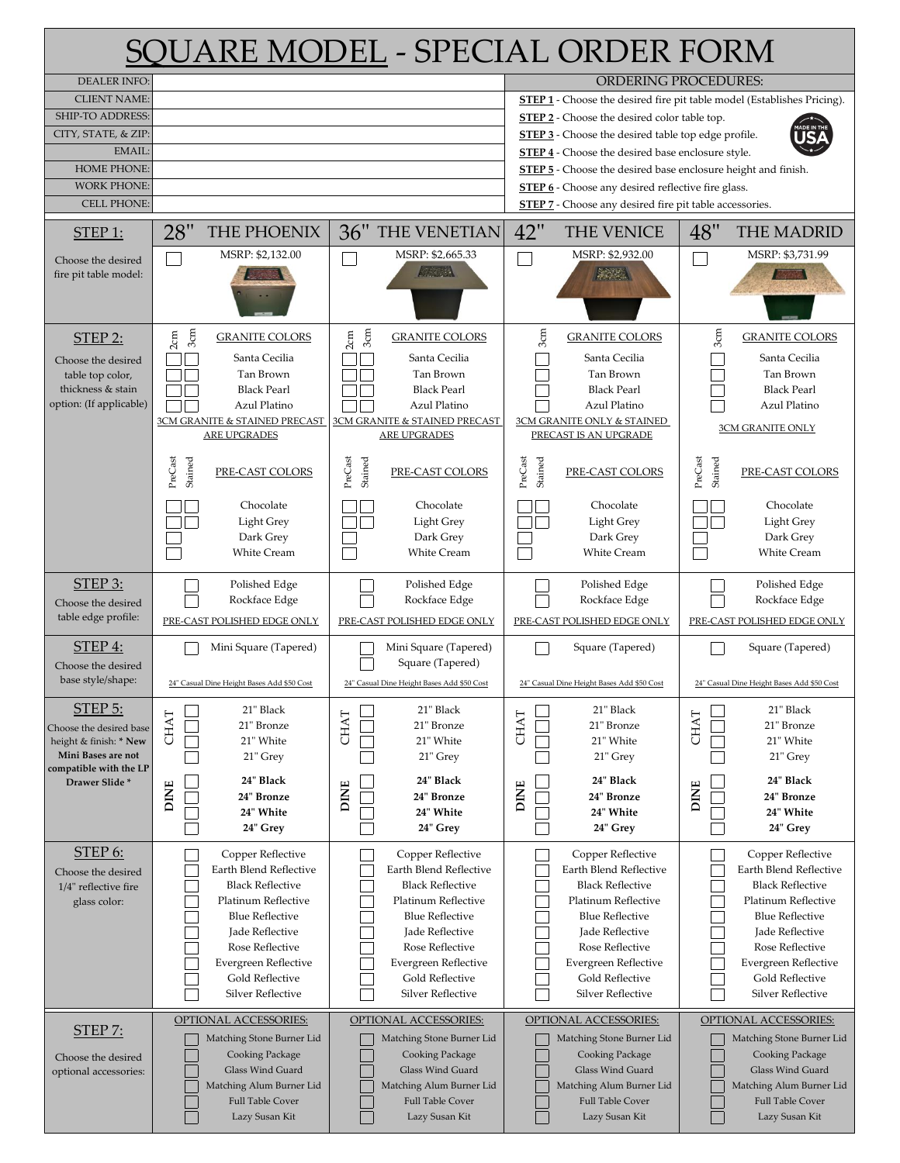| <b>SOUARE MODEL - SPECIAL ORDER FORM</b>       |                                                    |                                                                |                                                                                                                             |                                                                                |  |  |
|------------------------------------------------|----------------------------------------------------|----------------------------------------------------------------|-----------------------------------------------------------------------------------------------------------------------------|--------------------------------------------------------------------------------|--|--|
| <b>DEALER INFO:</b>                            |                                                    |                                                                |                                                                                                                             | <b>ORDERING PROCEDURES:</b>                                                    |  |  |
| <b>CLIENT NAME:</b><br><b>SHIP-TO ADDRESS:</b> |                                                    |                                                                | STEP 2 - Choose the desired color table top.                                                                                | <b>STEP 1</b> - Choose the desired fire pit table model (Establishes Pricing). |  |  |
| CITY, STATE, & ZIP:                            |                                                    |                                                                | <b>STEP 3</b> - Choose the desired table top edge profile.                                                                  |                                                                                |  |  |
| <b>EMAIL</b>                                   |                                                    |                                                                | STEP 4 - Choose the desired base enclosure style.                                                                           |                                                                                |  |  |
| <b>HOME PHONE:</b><br><b>WORK PHONE:</b>       |                                                    |                                                                | STEP 5 - Choose the desired base enclosure height and finish.                                                               |                                                                                |  |  |
| <b>CELL PHONE:</b>                             |                                                    |                                                                | <b>STEP 6</b> - Choose any desired reflective fire glass.<br><b>STEP 7</b> - Choose any desired fire pit table accessories. |                                                                                |  |  |
| $STEP$ 1:                                      | 28"<br>THE PHOENIX                                 | 36"<br>THE VENETIAN                                            | 42"<br>THE VENICE                                                                                                           | 48"<br><b>THE MADRID</b>                                                       |  |  |
| Choose the desired                             | MSRP: \$2,132.00                                   | MSRP: \$2,665.33                                               | MSRP: \$2,932.00                                                                                                            | MSRP: \$3,731.99                                                               |  |  |
| fire pit table model:                          |                                                    | <b>AREA</b>                                                    | <b>Alexander</b>                                                                                                            |                                                                                |  |  |
| <b>STEP 2:</b>                                 | 3 <sub>cm</sub><br>2cm<br><b>GRANITE COLORS</b>    | 3 <sub>cm</sub><br>2cm<br><b>GRANITE COLORS</b>                | 3cm<br><b>GRANITE COLORS</b>                                                                                                | 3 <sub>cm</sub><br><b>GRANITE COLORS</b>                                       |  |  |
| Choose the desired                             | Santa Cecilia<br>Tan Brown                         | Santa Cecilia<br>Tan Brown                                     | Santa Cecilia<br>Tan Brown                                                                                                  | Santa Cecilia<br>Tan Brown                                                     |  |  |
| table top color,<br>thickness & stain          | <b>Black Pearl</b>                                 | <b>Black Pearl</b>                                             | <b>Black Pearl</b>                                                                                                          | <b>Black Pearl</b>                                                             |  |  |
| option: (If applicable)                        | Azul Platino                                       | Azul Platino                                                   | Azul Platino                                                                                                                | Azul Platino                                                                   |  |  |
|                                                | 3CM GRANITE & STAINED PRECAST<br>ARE UPGRADES      | 3CM GRANITE & STAINED PRECAST<br>ARE UPGRADES                  | 3CM GRANITE ONLY & STAINED<br>PRECAST IS AN UPGRADE                                                                         | 3CM GRANITE ONLY                                                               |  |  |
|                                                | PreCast<br>Stained<br>PRE-CAST COLORS              | PreCast<br>Stained<br>PRE-CAST COLORS                          | PreCast<br>Stained<br>PRE-CAST COLORS                                                                                       | PreCast<br>Stained<br>PRE-CAST COLORS                                          |  |  |
|                                                | Chocolate                                          | Chocolate                                                      | Chocolate                                                                                                                   | Chocolate                                                                      |  |  |
|                                                | Light Grey<br>Dark Grey                            | Light Grey<br>Dark Grey                                        | Light Grey<br>Dark Grey                                                                                                     | Light Grey<br>Dark Grey                                                        |  |  |
|                                                | <b>White Cream</b>                                 | <b>White Cream</b>                                             | <b>White Cream</b>                                                                                                          | <b>White Cream</b>                                                             |  |  |
| $STEP$ 3:                                      | Polished Edge                                      | Polished Edge                                                  | Polished Edge                                                                                                               | Polished Edge                                                                  |  |  |
| Choose the desired<br>table edge profile:      | Rockface Edge<br>PRE-CAST POLISHED EDGE ONLY       | Rockface Edge<br>PRE-CAST POLISHED EDGE ONLY                   | Rockface Edge<br>PRE-CAST POLISHED EDGE ONLY                                                                                | Rockface Edge<br>PRE-CAST POLISHED EDGE ONLY                                   |  |  |
| <b>STEP 4:</b>                                 | Mini Square (Tapered)                              | Mini Square (Tapered)                                          | Square (Tapered)                                                                                                            | Square (Tapered)                                                               |  |  |
| Choose the desired<br>base style/shape:        | 24" Casual Dine Height Bases Add \$50 Cost         | Square (Tapered)<br>24" Casual Dine Height Bases Add \$50 Cost | 24" Casual Dine Height Bases Add \$50 Cost                                                                                  | 24" Casual Dine Height Bases Add \$50 Cost                                     |  |  |
| STEP 5:                                        | 21" Black                                          | 21" Black                                                      | 21" Black                                                                                                                   | 21" Black                                                                      |  |  |
| Choose the desired base                        | <b>CHAT</b><br>21" Bronze                          | <b>CHAT</b><br>21" Bronze                                      | CHAT<br>21" Bronze                                                                                                          | <b>CHAT</b><br>21" Bronze                                                      |  |  |
| height & finish: * New<br>Mini Bases are not   | 21" White<br>21" Grey                              | 21" White<br>21" Grey                                          | 21" White<br>21" Grey                                                                                                       | 21" White<br>21" Grey                                                          |  |  |
| compatible with the LP<br>Drawer Slide*        | 24" Black                                          | 24" Black                                                      | 24" Black                                                                                                                   | 24" Black                                                                      |  |  |
|                                                | <b>DINE</b><br>24" Bronze                          | <b>DINE</b><br>24" Bronze                                      | <b>DINE</b><br>24" Bronze                                                                                                   | <b>DINE</b><br>24" Bronze                                                      |  |  |
|                                                | 24" White<br>24" Grey                              | 24" White<br>24" Grey                                          | 24" White<br>24" Grey                                                                                                       | 24" White<br>24" Grey                                                          |  |  |
| <b>STEP 6:</b>                                 | Copper Reflective                                  | Copper Reflective                                              | Copper Reflective                                                                                                           | Copper Reflective                                                              |  |  |
| Choose the desired                             | Earth Blend Reflective                             | Earth Blend Reflective                                         | Earth Blend Reflective                                                                                                      | Earth Blend Reflective                                                         |  |  |
| 1/4" reflective fire<br>glass color:           | <b>Black Reflective</b><br>Platinum Reflective     | <b>Black Reflective</b><br>Platinum Reflective                 | <b>Black Reflective</b><br>Platinum Reflective                                                                              | <b>Black Reflective</b><br>Platinum Reflective                                 |  |  |
|                                                | <b>Blue Reflective</b>                             | <b>Blue Reflective</b>                                         | <b>Blue Reflective</b>                                                                                                      | <b>Blue Reflective</b>                                                         |  |  |
|                                                | Jade Reflective                                    | Jade Reflective                                                | Jade Reflective                                                                                                             | Jade Reflective                                                                |  |  |
|                                                | Rose Reflective<br>Evergreen Reflective            | Rose Reflective<br>Evergreen Reflective                        | Rose Reflective<br>Evergreen Reflective                                                                                     | Rose Reflective<br>Evergreen Reflective                                        |  |  |
|                                                | Gold Reflective                                    | Gold Reflective                                                | Gold Reflective<br>Silver Reflective                                                                                        | Gold Reflective                                                                |  |  |
|                                                | Silver Reflective                                  | Silver Reflective                                              |                                                                                                                             | Silver Reflective                                                              |  |  |
| <b>STEP 7:</b>                                 | OPTIONAL ACCESSORIES:<br>Matching Stone Burner Lid | OPTIONAL ACCESSORIES:<br>Matching Stone Burner Lid             | OPTIONAL ACCESSORIES:<br>Matching Stone Burner Lid                                                                          | OPTIONAL ACCESSORIES:<br>Matching Stone Burner Lid                             |  |  |
| Choose the desired                             | Cooking Package                                    | Cooking Package                                                | Cooking Package                                                                                                             | Cooking Package                                                                |  |  |
| optional accessories:                          | Glass Wind Guard<br>Matching Alum Burner Lid       | <b>Glass Wind Guard</b><br>Matching Alum Burner Lid            | <b>Glass Wind Guard</b><br>Matching Alum Burner Lid                                                                         | Glass Wind Guard<br>Matching Alum Burner Lid                                   |  |  |
|                                                | <b>Full Table Cover</b>                            | <b>Full Table Cover</b>                                        | <b>Full Table Cover</b>                                                                                                     | <b>Full Table Cover</b>                                                        |  |  |
|                                                | Lazy Susan Kit                                     | Lazy Susan Kit                                                 | Lazy Susan Kit                                                                                                              | Lazy Susan Kit                                                                 |  |  |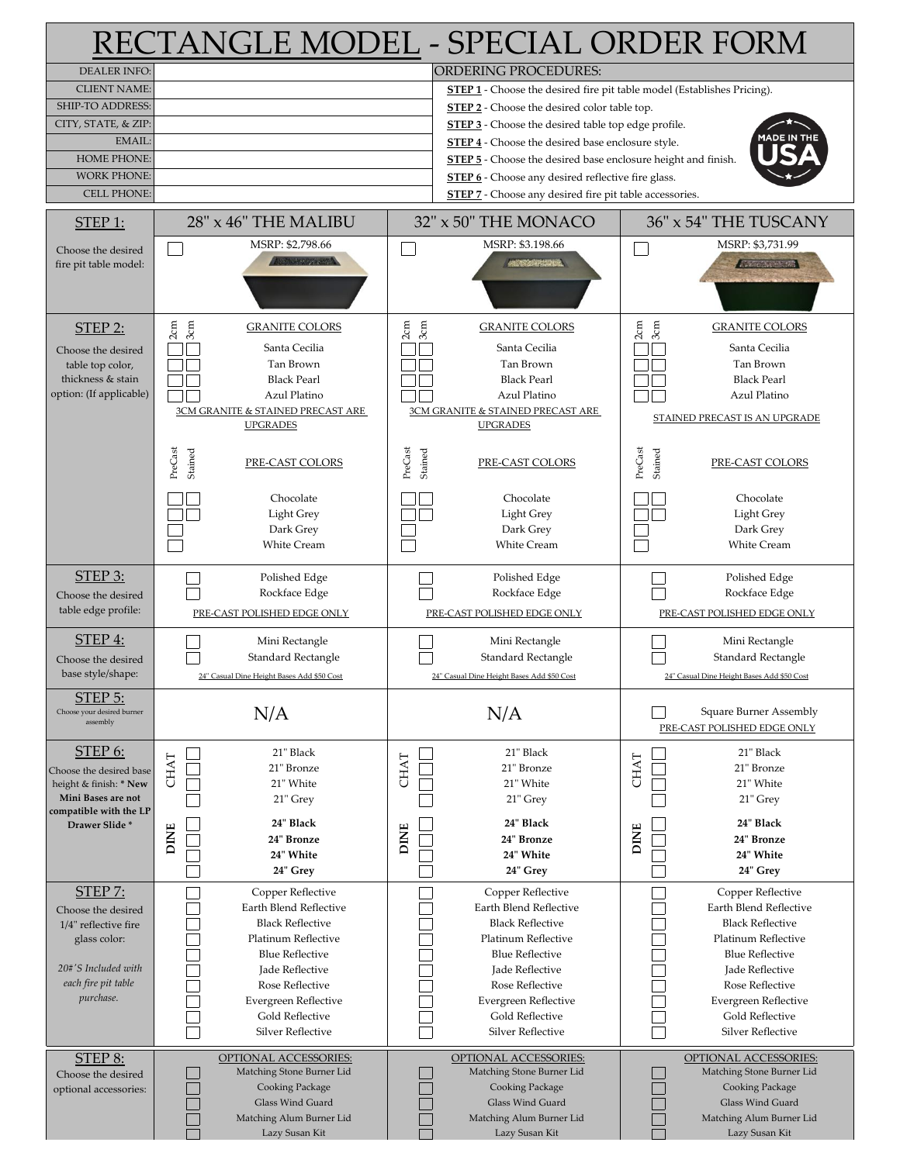| RECTANGLE MODEL - SPECIAL ORDER FORM              |                                                 |                    |                                                                                |                                                       |  |
|---------------------------------------------------|-------------------------------------------------|--------------------|--------------------------------------------------------------------------------|-------------------------------------------------------|--|
| <b>DEALER INFO:</b>                               |                                                 |                    | <b>ORDERING PROCEDURES:</b>                                                    |                                                       |  |
| <b>CLIENT NAME:</b>                               |                                                 |                    | <b>STEP 1</b> - Choose the desired fire pit table model (Establishes Pricing). |                                                       |  |
| <b>SHIP-TO ADDRESS:</b>                           |                                                 |                    | <b>STEP 2</b> - Choose the desired color table top.                            |                                                       |  |
| CITY, STATE, & ZIP:                               |                                                 |                    | STEP 3 - Choose the desired table top edge profile.                            |                                                       |  |
| <b>EMAIL:</b>                                     |                                                 |                    | <b>IADE IN THE</b><br><b>STEP 4</b> - Choose the desired base enclosure style. |                                                       |  |
| <b>HOME PHONE:</b>                                |                                                 |                    | <b>STEP 5</b> - Choose the desired base enclosure height and finish.           |                                                       |  |
| <b>WORK PHONE:</b>                                |                                                 |                    | <b>STEP 6</b> - Choose any desired reflective fire glass.                      |                                                       |  |
| <b>CELL PHONE:</b>                                |                                                 |                    | <b>STEP 7</b> - Choose any desired fire pit table accessories.                 |                                                       |  |
| $STEP$ 1:                                         | 28" x 46" THE MALIBU                            |                    | 32" x 50" THE MONACO                                                           | 36" x 54" THE TUSCANY                                 |  |
| Choose the desired                                | MSRP: \$2,798.66                                |                    | MSRP: \$3.198.66                                                               | MSRP: \$3,731.99                                      |  |
| fire pit table model:                             | <b>ANSWERSHAM</b>                               |                    | <b>ARTS DESCRIPTION</b>                                                        | <b>ANDREW WARD</b>                                    |  |
| <b>STEP 2:</b>                                    | 2cm<br>3 <sub>cm</sub><br><b>GRANITE COLORS</b> | 3cm<br>2cm         | <b>GRANITE COLORS</b>                                                          | 2cm<br>3cm<br><b>GRANITE COLORS</b>                   |  |
| Choose the desired                                | Santa Cecilia                                   |                    | Santa Cecilia                                                                  | Santa Cecilia                                         |  |
| table top color,                                  | Tan Brown                                       |                    | Tan Brown                                                                      | Tan Brown                                             |  |
| thickness & stain                                 | <b>Black Pearl</b>                              |                    | <b>Black Pearl</b>                                                             | <b>Black Pearl</b>                                    |  |
| option: (If applicable)                           | Azul Platino                                    |                    | Azul Platino                                                                   | Azul Platino                                          |  |
|                                                   | 3CM GRANITE & STAINED PRECAST ARE               |                    | 3CM GRANITE & STAINED PRECAST ARE                                              | STAINED PRECAST IS AN UPGRADE                         |  |
|                                                   | <b>UPGRADES</b>                                 |                    | <b>UPGRADES</b>                                                                |                                                       |  |
|                                                   | PreCast<br>Stained<br>PRE-CAST COLORS           | PreCast<br>Stained | PRE-CAST COLORS                                                                | PreCast<br>Stained<br>PRE-CAST COLORS                 |  |
|                                                   | Chocolate                                       |                    | Chocolate                                                                      | Chocolate                                             |  |
|                                                   | Light Grey                                      |                    | Light Grey                                                                     | Light Grey                                            |  |
|                                                   | Dark Grey                                       |                    | Dark Grey                                                                      | Dark Grey                                             |  |
|                                                   | <b>White Cream</b>                              |                    | <b>White Cream</b>                                                             | <b>White Cream</b>                                    |  |
| STEP 3:                                           | Polished Edge                                   |                    | Polished Edge                                                                  | Polished Edge                                         |  |
| Choose the desired                                | Rockface Edge                                   |                    | Rockface Edge                                                                  | Rockface Edge                                         |  |
| table edge profile:                               | PRE-CAST POLISHED EDGE ONLY                     |                    | PRE-CAST POLISHED EDGE ONLY                                                    | PRE-CAST POLISHED EDGE ONLY                           |  |
| STEP 4:                                           | Mini Rectangle                                  |                    | Mini Rectangle                                                                 | Mini Rectangle                                        |  |
| Choose the desired                                | Standard Rectangle                              |                    | Standard Rectangle                                                             | Standard Rectangle                                    |  |
| base style/shape:                                 | 24" Casual Dine Height Bases Add \$50 Cost      |                    | 24" Casual Dine Height Bases Add \$50 Cost                                     | 24" Casual Dine Height Bases Add \$50 Cost            |  |
| STEP 5:<br>Choose your desired burner<br>assembly | N/A                                             |                    | N/A                                                                            | Square Burner Assembly<br>PRE-CAST POLISHED EDGE ONLY |  |
| STEP 6:                                           | 21" Black                                       |                    | 21" Black                                                                      | 21" Black                                             |  |
| Choose the desired base                           | <b>CHAT</b><br>21" Bronze                       | <b>CHAT</b>        | 21" Bronze                                                                     | CHAT<br>21" Bronze                                    |  |
| height & finish: * New                            | 21" White                                       |                    | 21" White                                                                      | 21" White                                             |  |
| Mini Bases are not                                | 21" Grey                                        |                    | 21" Grey                                                                       | 21" Grey                                              |  |
| compatible with the LP<br>Drawer Slide*           | 24" Black                                       |                    | 24" Black                                                                      | 24" Black                                             |  |
|                                                   | <b>DINE</b><br>24" Bronze                       | <b>DINE</b>        | 24" Bronze                                                                     | <b>DINE</b><br>24" Bronze                             |  |
|                                                   | 24" White                                       |                    | 24" White                                                                      | 24" White                                             |  |
|                                                   | 24" Grey                                        |                    | 24" Grey                                                                       | 24" Grey                                              |  |
| <b>STEP 7:</b>                                    | Copper Reflective                               |                    | Copper Reflective                                                              | Copper Reflective                                     |  |
| Choose the desired                                | Earth Blend Reflective                          |                    | Earth Blend Reflective                                                         | Earth Blend Reflective                                |  |
| 1/4" reflective fire                              | <b>Black Reflective</b>                         |                    | <b>Black Reflective</b>                                                        | <b>Black Reflective</b>                               |  |
| glass color:                                      | Platinum Reflective                             |                    | Platinum Reflective                                                            | Platinum Reflective                                   |  |
| 20#'S Included with                               | <b>Blue Reflective</b>                          |                    | <b>Blue Reflective</b>                                                         | <b>Blue Reflective</b>                                |  |
| each fire pit table                               | Jade Reflective<br>Rose Reflective              |                    | Jade Reflective<br>Rose Reflective                                             | Jade Reflective<br>Rose Reflective                    |  |
| purchase.                                         | Evergreen Reflective                            |                    | Evergreen Reflective                                                           | Evergreen Reflective                                  |  |
|                                                   | Gold Reflective                                 |                    | Gold Reflective                                                                | Gold Reflective                                       |  |
|                                                   | Silver Reflective                               |                    | Silver Reflective                                                              | Silver Reflective                                     |  |
| STEP 8:                                           | OPTIONAL ACCESSORIES:                           |                    | <b>OPTIONAL ACCESSORIES:</b>                                                   | OPTIONAL ACCESSORIES:                                 |  |
| Choose the desired                                | Matching Stone Burner Lid                       |                    | Matching Stone Burner Lid                                                      | Matching Stone Burner Lid                             |  |
| optional accessories:                             | Cooking Package                                 |                    | Cooking Package                                                                | Cooking Package                                       |  |
|                                                   | <b>Glass Wind Guard</b>                         |                    | <b>Glass Wind Guard</b>                                                        | <b>Glass Wind Guard</b>                               |  |
|                                                   | Matching Alum Burner Lid                        |                    | Matching Alum Burner Lid                                                       | Matching Alum Burner Lid                              |  |
|                                                   | Lazy Susan Kit                                  |                    | Lazy Susan Kit                                                                 | Lazy Susan Kit                                        |  |